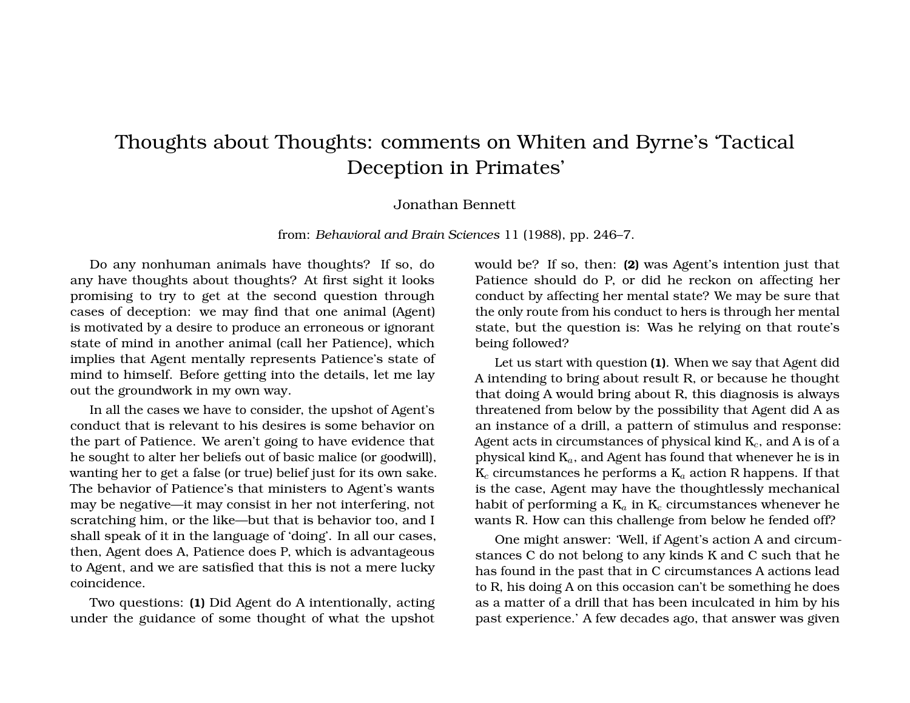## Thoughts about Thoughts: comments on Whiten and Byrne's 'Tactical Deception in Primates'

## Jonathan Bennett

from: *Behavioral and Brain Sciences* 11 (1988), pp. 246–7.

Do any nonhuman animals have thoughts? If so, do any have thoughts about thoughts? At first sight it looks promising to try to get at the second question through cases of deception: we may find that one animal (Agent) is motivated by a desire to produce an erroneous or ignorant state of mind in another animal (call her Patience), which implies that Agent mentally represents Patience's state of mind to himself. Before getting into the details, let me lay out the groundwork in my own way.

In all the cases we have to consider, the upshot of Agent's conduct that is relevant to his desires is some behavior on the part of Patience. We aren't going to have evidence that he sought to alter her beliefs out of basic malice (or goodwill), wanting her to get a false (or true) belief just for its own sake. The behavior of Patience's that ministers to Agent's wants may be negative—it may consist in her not interfering, not scratching him, or the like—but that is behavior too, and I shall speak of it in the language of 'doing'. In all our cases, then, Agent does A, Patience does P, which is advantageous to Agent, and we are satisfied that this is not a mere lucky coincidence.

Two questions: **(1)** Did Agent do A intentionally, acting under the guidance of some thought of what the upshot would be? If so, then: **(2)** was Agent's intention just that Patience should do P, or did he reckon on affecting her conduct by affecting her mental state? We may be sure that the only route from his conduct to hers is through her mental state, but the question is: Was he relying on that route's being followed?

Let us start with question **(1)**. When we say that Agent did A intending to bring about result R, or because he thought that doing A would bring about R, this diagnosis is always threatened from below by the possibility that Agent did A as an instance of a drill, a pattern of stimulus and response: Agent acts in circumstances of physical kind  $K_c$ , and A is of a physical kind  $K_a$ , and Agent has found that whenever he is in  $K_c$  circumstances he performs a  $K_a$  action R happens. If that is the case, Agent may have the thoughtlessly mechanical habit of performing a  $K_a$  in  $K_c$  circumstances whenever he wants R. How can this challenge from below he fended off?

One might answer: 'Well, if Agent's action A and circumstances C do not belong to any kinds K and C such that he has found in the past that in C circumstances A actions lead to R, his doing A on this occasion can't be something he does as a matter of a drill that has been inculcated in him by his past experience.' A few decades ago, that answer was given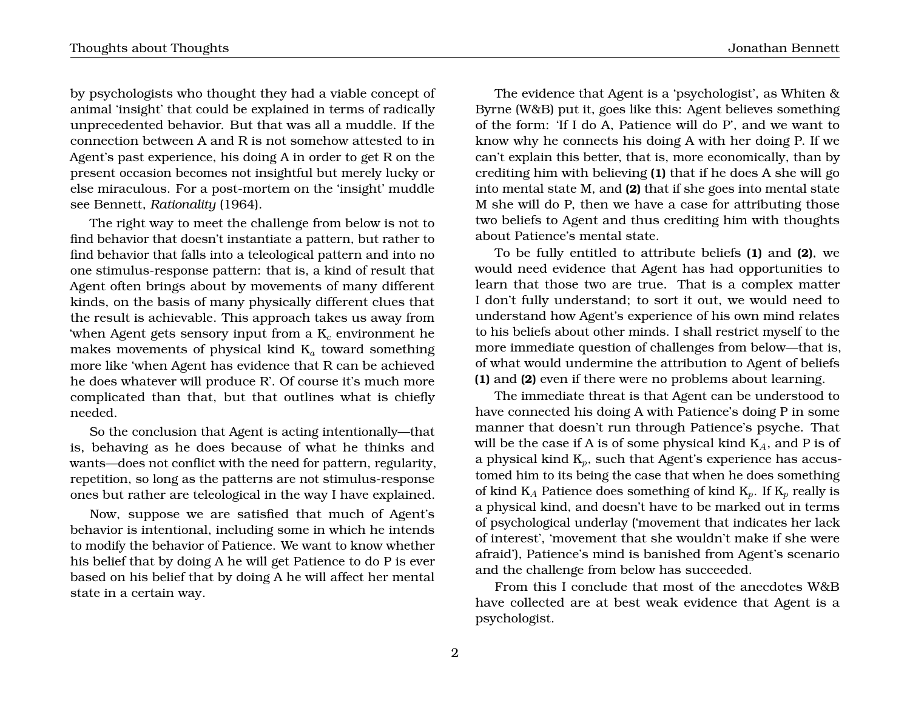by psychologists who thought they had a viable concept of animal 'insight' that could be explained in terms of radically unprecedented behavior. But that was all a muddle. If the connection between A and R is not somehow attested to in Agent's past experience, his doing A in order to get R on the present occasion becomes not insightful but merely lucky or else miraculous. For a post-mortem on the 'insight' muddle see Bennett, *Rationality* (1964).

The right way to meet the challenge from below is not to find behavior that doesn't instantiate a pattern, but rather to find behavior that falls into a teleological pattern and into no one stimulus-response pattern: that is, a kind of result that Agent often brings about by movements of many different kinds, on the basis of many physically different clues that the result is achievable. This approach takes us away from 'when Agent gets sensory input from a  $K_c$  environment he makes movements of physical kind  $K_a$  toward something more like 'when Agent has evidence that R can be achieved he does whatever will produce R'. Of course it's much more complicated than that, but that outlines what is chiefly needed.

So the conclusion that Agent is acting intentionally—that is, behaving as he does because of what he thinks and wants—does not conflict with the need for pattern, regularity, repetition, so long as the patterns are not stimulus-response ones but rather are teleological in the way I have explained.

Now, suppose we are satisfied that much of Agent's behavior is intentional, including some in which he intends to modify the behavior of Patience. We want to know whether his belief that by doing A he will get Patience to do P is ever based on his belief that by doing A he will affect her mental state in a certain way.

The evidence that Agent is a 'psychologist', as Whiten & Byrne (W&B) put it, goes like this: Agent believes something of the form: 'If I do A, Patience will do P', and we want to know why he connects his doing A with her doing P. If we can't explain this better, that is, more economically, than by crediting him with believing **(1)** that if he does A she will go into mental state M, and **(2)** that if she goes into mental state M she will do P, then we have a case for attributing those two beliefs to Agent and thus crediting him with thoughts about Patience's mental state.

To be fully entitled to attribute beliefs **(1)** and **(2)**, we would need evidence that Agent has had opportunities to learn that those two are true. That is a complex matter I don't fully understand; to sort it out, we would need to understand how Agent's experience of his own mind relates to his beliefs about other minds. I shall restrict myself to the more immediate question of challenges from below—that is, of what would undermine the attribution to Agent of beliefs **(1)** and **(2)** even if there were no problems about learning.

The immediate threat is that Agent can be understood to have connected his doing A with Patience's doing P in some manner that doesn't run through Patience's psyche. That will be the case if A is of some physical kind  $K_A$ , and P is of a physical kind  $K_p$ , such that Agent's experience has accustomed him to its being the case that when he does something of kind  $K_A$  Patience does something of kind  $K_p$ . If  $K_p$  really is a physical kind, and doesn't have to be marked out in terms of psychological underlay ('movement that indicates her lack of interest', 'movement that she wouldn't make if she were afraid'), Patience's mind is banished from Agent's scenario and the challenge from below has succeeded.

From this I conclude that most of the anecdotes W&B have collected are at best weak evidence that Agent is a psychologist.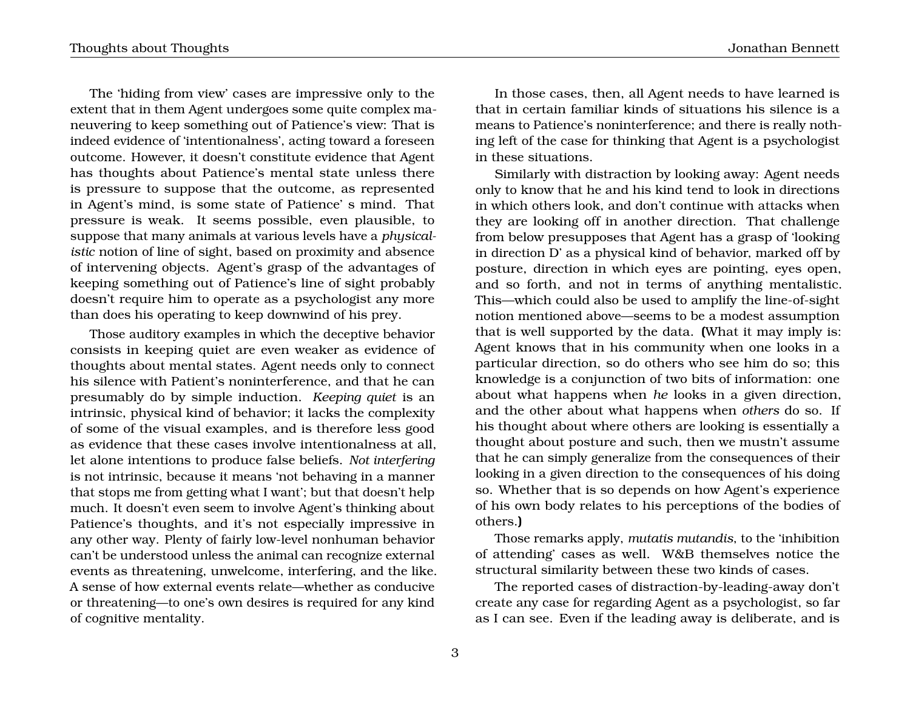The 'hiding from view' cases are impressive only to the extent that in them Agent undergoes some quite complex maneuvering to keep something out of Patience's view: That is indeed evidence of 'intentionalness', acting toward a foreseen outcome. However, it doesn't constitute evidence that Agent has thoughts about Patience's mental state unless there is pressure to suppose that the outcome, as represented in Agent's mind, is some state of Patience' s mind. That pressure is weak. It seems possible, even plausible, to suppose that many animals at various levels have a *physicalistic* notion of line of sight, based on proximity and absence of intervening objects. Agent's grasp of the advantages of keeping something out of Patience's line of sight probably doesn't require him to operate as a psychologist any more than does his operating to keep downwind of his prey.

Those auditory examples in which the deceptive behavior consists in keeping quiet are even weaker as evidence of thoughts about mental states. Agent needs only to connect his silence with Patient's noninterference, and that he can presumably do by simple induction. *Keeping quiet* is an intrinsic, physical kind of behavior; it lacks the complexity of some of the visual examples, and is therefore less good as evidence that these cases involve intentionalness at all, let alone intentions to produce false beliefs. *Not interfering* is not intrinsic, because it means 'not behaving in a manner that stops me from getting what I want'; but that doesn't help much. It doesn't even seem to involve Agent's thinking about Patience's thoughts, and it's not especially impressive in any other way. Plenty of fairly low-level nonhuman behavior can't be understood unless the animal can recognize external events as threatening, unwelcome, interfering, and the like. A sense of how external events relate—whether as conducive or threatening—to one's own desires is required for any kind of cognitive mentality.

In those cases, then, all Agent needs to have learned is that in certain familiar kinds of situations his silence is a means to Patience's noninterference; and there is really nothing left of the case for thinking that Agent is a psychologist in these situations.

Similarly with distraction by looking away: Agent needs only to know that he and his kind tend to look in directions in which others look, and don't continue with attacks when they are looking off in another direction. That challenge from below presupposes that Agent has a grasp of 'looking in direction D' as a physical kind of behavior, marked off by posture, direction in which eyes are pointing, eyes open, and so forth, and not in terms of anything mentalistic. This—which could also be used to amplify the line-of-sight notion mentioned above—seems to be a modest assumption that is well supported by the data. **(**What it may imply is: Agent knows that in his community when one looks in a particular direction, so do others who see him do so; this knowledge is a conjunction of two bits of information: one about what happens when *he* looks in a given direction, and the other about what happens when *others* do so. If his thought about where others are looking is essentially a thought about posture and such, then we mustn't assume that he can simply generalize from the consequences of their looking in a given direction to the consequences of his doing so. Whether that is so depends on how Agent's experience of his own body relates to his perceptions of the bodies of others.**)**

Those remarks apply, *mutatis mutandis*, to the 'inhibition of attending' cases as well. W&B themselves notice the structural similarity between these two kinds of cases.

The reported cases of distraction-by-leading-away don't create any case for regarding Agent as a psychologist, so far as I can see. Even if the leading away is deliberate, and is